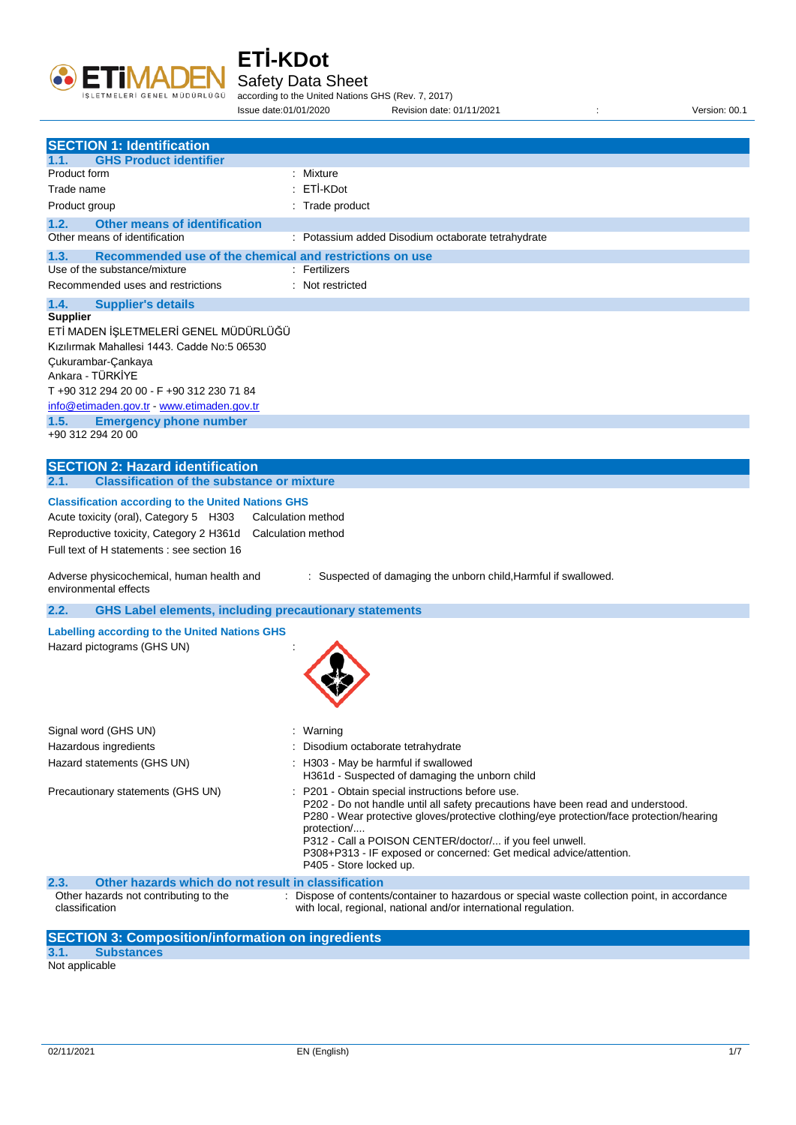

Safety Data Sheet

according to the United Nations GHS (Rev. 7, 2017) Issue date:01/01/2020 Revision date: 01/11/2021 : Version: 00.1

| <b>SECTION 1: Identification</b>                                                                                                                                                                                                                                                                           |                                                                                                                                                                                                                                                                                                                                                                                                           |
|------------------------------------------------------------------------------------------------------------------------------------------------------------------------------------------------------------------------------------------------------------------------------------------------------------|-----------------------------------------------------------------------------------------------------------------------------------------------------------------------------------------------------------------------------------------------------------------------------------------------------------------------------------------------------------------------------------------------------------|
| <b>GHS Product identifier</b><br>1.1.                                                                                                                                                                                                                                                                      |                                                                                                                                                                                                                                                                                                                                                                                                           |
| Product form                                                                                                                                                                                                                                                                                               | : Mixture                                                                                                                                                                                                                                                                                                                                                                                                 |
| Trade name                                                                                                                                                                                                                                                                                                 | : ETİ-KDot                                                                                                                                                                                                                                                                                                                                                                                                |
| Product group                                                                                                                                                                                                                                                                                              | : Trade product                                                                                                                                                                                                                                                                                                                                                                                           |
| <b>Other means of identification</b><br>1.2.<br>Other means of identification                                                                                                                                                                                                                              | : Potassium added Disodium octaborate tetrahydrate                                                                                                                                                                                                                                                                                                                                                        |
|                                                                                                                                                                                                                                                                                                            |                                                                                                                                                                                                                                                                                                                                                                                                           |
| Recommended use of the chemical and restrictions on use<br>1.3.<br>Use of the substance/mixture                                                                                                                                                                                                            | : Fertilizers                                                                                                                                                                                                                                                                                                                                                                                             |
| Recommended uses and restrictions                                                                                                                                                                                                                                                                          | : Not restricted                                                                                                                                                                                                                                                                                                                                                                                          |
| 1.4.<br><b>Supplier's details</b>                                                                                                                                                                                                                                                                          |                                                                                                                                                                                                                                                                                                                                                                                                           |
| <b>Supplier</b><br>ETİ MADEN İŞLETMELERİ GENEL MÜDÜRLÜĞÜ<br>Kızılırmak Mahallesi 1443. Cadde No:5 06530<br>Çukurambar-Çankaya<br>Ankara - TÜRKİYE<br>T +90 312 294 20 00 - F +90 312 230 71 84<br>info@etimaden.gov.tr - www.etimaden.gov.tr<br><b>Emergency phone number</b><br>1.5.<br>+90 312 294 20 00 |                                                                                                                                                                                                                                                                                                                                                                                                           |
| <b>SECTION 2: Hazard identification</b><br><b>Classification of the substance or mixture</b><br>2.1.                                                                                                                                                                                                       |                                                                                                                                                                                                                                                                                                                                                                                                           |
| Acute toxicity (oral), Category 5 H303<br>Reproductive toxicity, Category 2 H361d<br>Full text of H statements : see section 16<br>Adverse physicochemical, human health and<br>environmental effects                                                                                                      | Calculation method<br>Calculation method<br>: Suspected of damaging the unborn child, Harmful if swallowed.                                                                                                                                                                                                                                                                                               |
| 2.2.<br><b>GHS Label elements, including precautionary statements</b>                                                                                                                                                                                                                                      |                                                                                                                                                                                                                                                                                                                                                                                                           |
|                                                                                                                                                                                                                                                                                                            |                                                                                                                                                                                                                                                                                                                                                                                                           |
| <b>Labelling according to the United Nations GHS</b><br>Hazard pictograms (GHS UN)                                                                                                                                                                                                                         |                                                                                                                                                                                                                                                                                                                                                                                                           |
| Signal word (GHS UN)                                                                                                                                                                                                                                                                                       | : Warning                                                                                                                                                                                                                                                                                                                                                                                                 |
| Hazardous ingredients                                                                                                                                                                                                                                                                                      | Disodium octaborate tetrahydrate                                                                                                                                                                                                                                                                                                                                                                          |
| Hazard statements (GHS UN)                                                                                                                                                                                                                                                                                 | H303 - May be harmful if swallowed<br>H361d - Suspected of damaging the unborn child                                                                                                                                                                                                                                                                                                                      |
| Precautionary statements (GHS UN)                                                                                                                                                                                                                                                                          | P201 - Obtain special instructions before use.<br>P202 - Do not handle until all safety precautions have been read and understood.<br>P280 - Wear protective gloves/protective clothing/eye protection/face protection/hearing<br>protection/<br>P312 - Call a POISON CENTER/doctor/ if you feel unwell.<br>P308+P313 - IF exposed or concerned: Get medical advice/attention.<br>P405 - Store locked up. |
| Other hazards which do not result in classification<br>2.3.                                                                                                                                                                                                                                                |                                                                                                                                                                                                                                                                                                                                                                                                           |
| Other hazards not contributing to the<br>classification                                                                                                                                                                                                                                                    | : Dispose of contents/container to hazardous or special waste collection point, in accordance<br>with local, regional, national and/or international regulation.                                                                                                                                                                                                                                          |
| <b>SECTION 3: Composition/information on ingredients</b><br>3.1.<br><b>Substances</b><br>Not applicable                                                                                                                                                                                                    |                                                                                                                                                                                                                                                                                                                                                                                                           |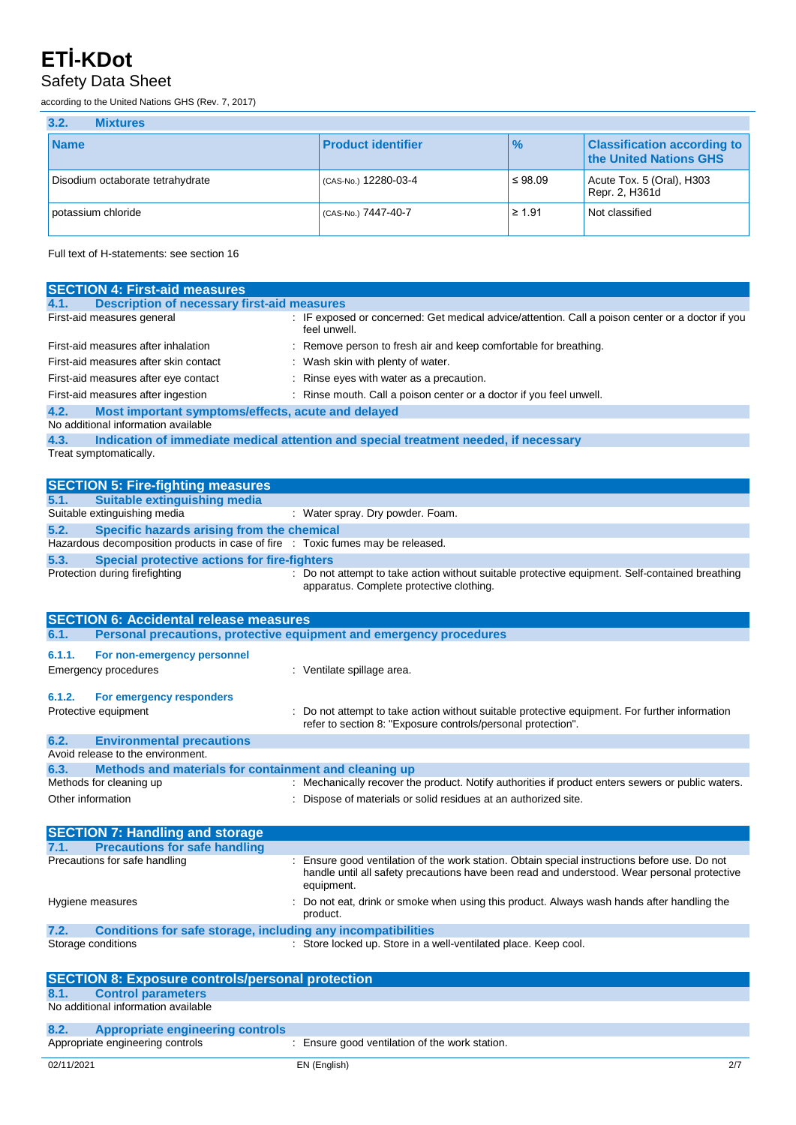#### Safety Data Sheet

according to the United Nations GHS (Rev. 7, 2017)

| 3.2.<br><b>Mixtures</b>          |                           |               |                                                              |
|----------------------------------|---------------------------|---------------|--------------------------------------------------------------|
| <b>Name</b>                      | <b>Product identifier</b> | $\frac{9}{6}$ | <b>Classification according to</b><br>the United Nations GHS |
| Disodium octaborate tetrahydrate | (CAS-No.) 12280-03-4      | $\leq 98.09$  | Acute Tox. 5 (Oral), H303<br>Repr. 2, H361d                  |
| potassium chloride               | (CAS-No.) 7447-40-7       | $\geq 1.91$   | Not classified                                               |

Full text of H-statements: see section 16

| <b>SECTION 4: First-aid measures</b>                                            |                                                                                                                                             |
|---------------------------------------------------------------------------------|---------------------------------------------------------------------------------------------------------------------------------------------|
| <b>Description of necessary first-aid measures</b><br>4.1.                      |                                                                                                                                             |
| First-aid measures general                                                      | : IF exposed or concerned: Get medical advice/attention. Call a poison center or a doctor if you<br>feel unwell.                            |
| First-aid measures after inhalation                                             | : Remove person to fresh air and keep comfortable for breathing.                                                                            |
| First-aid measures after skin contact                                           | : Wash skin with plenty of water.                                                                                                           |
| First-aid measures after eye contact                                            | : Rinse eyes with water as a precaution.                                                                                                    |
| First-aid measures after ingestion                                              | : Rinse mouth. Call a poison center or a doctor if you feel unwell.                                                                         |
| 4.2.<br>Most important symptoms/effects, acute and delayed                      |                                                                                                                                             |
| No additional information available                                             |                                                                                                                                             |
| 4.3.                                                                            | Indication of immediate medical attention and special treatment needed, if necessary                                                        |
| Treat symptomatically.                                                          |                                                                                                                                             |
|                                                                                 |                                                                                                                                             |
| <b>SECTION 5: Fire-fighting measures</b>                                        |                                                                                                                                             |
| <b>Suitable extinguishing media</b><br>5.1.                                     |                                                                                                                                             |
| Suitable extinguishing media                                                    | : Water spray. Dry powder. Foam.                                                                                                            |
| 5.2.<br>Specific hazards arising from the chemical                              |                                                                                                                                             |
| Hazardous decomposition products in case of fire : Toxic fumes may be released. |                                                                                                                                             |
| 5.3.<br><b>Special protective actions for fire-fighters</b>                     |                                                                                                                                             |
| Protection during firefighting                                                  | : Do not attempt to take action without suitable protective equipment. Self-contained breathing<br>apparatus. Complete protective clothing. |
|                                                                                 |                                                                                                                                             |
|                                                                                 |                                                                                                                                             |
| <b>SECTION 6: Accidental release measures</b><br>6.1.                           | Personal precautions, protective equipment and emergency procedures                                                                         |
|                                                                                 |                                                                                                                                             |
| 6.1.1.<br>For non-emergency personnel                                           |                                                                                                                                             |
| Emergency procedures                                                            | : Ventilate spillage area.                                                                                                                  |
| 6.1.2.<br>For emergency responders                                              |                                                                                                                                             |
| Protective equipment                                                            | : Do not attempt to take action without suitable protective equipment. For further information                                              |
|                                                                                 | refer to section 8: "Exposure controls/personal protection".                                                                                |
| 6.2.<br><b>Environmental precautions</b>                                        |                                                                                                                                             |
| Avoid release to the environment.                                               |                                                                                                                                             |
| 6.3.<br>Methods and materials for containment and cleaning up                   |                                                                                                                                             |
| Methods for cleaning up                                                         | : Mechanically recover the product. Notify authorities if product enters sewers or public waters.                                           |
| Other information                                                               | : Dispose of materials or solid residues at an authorized site.                                                                             |
|                                                                                 |                                                                                                                                             |
| <b>SECTION 7: Handling and storage</b>                                          |                                                                                                                                             |
| <b>Precautions for safe handling</b><br>7.1.                                    |                                                                                                                                             |
| Precautions for safe handling                                                   | : Ensure good ventilation of the work station. Obtain special instructions before use. Do not                                               |
|                                                                                 | handle until all safety precautions have been read and understood. Wear personal protective<br>equipment.                                   |
|                                                                                 |                                                                                                                                             |
| Hygiene measures                                                                | Do not eat, drink or smoke when using this product. Always wash hands after handling the<br>product.                                        |
| 7.2.<br>Conditions for safe storage, including any incompatibilities            |                                                                                                                                             |
| Storage conditions                                                              | : Store locked up. Store in a well-ventilated place. Keep cool.                                                                             |
|                                                                                 |                                                                                                                                             |
| <b>SECTION 8: Exposure controls/personal protection</b>                         |                                                                                                                                             |
| <b>Control parameters</b><br>8.1.                                               |                                                                                                                                             |
| No additional information available                                             |                                                                                                                                             |
|                                                                                 |                                                                                                                                             |
| 8.2.<br><b>Appropriate engineering controls</b>                                 |                                                                                                                                             |
| Appropriate engineering controls                                                | : Ensure good ventilation of the work station.                                                                                              |
| 02/11/2021                                                                      | EN (English)<br>2/7                                                                                                                         |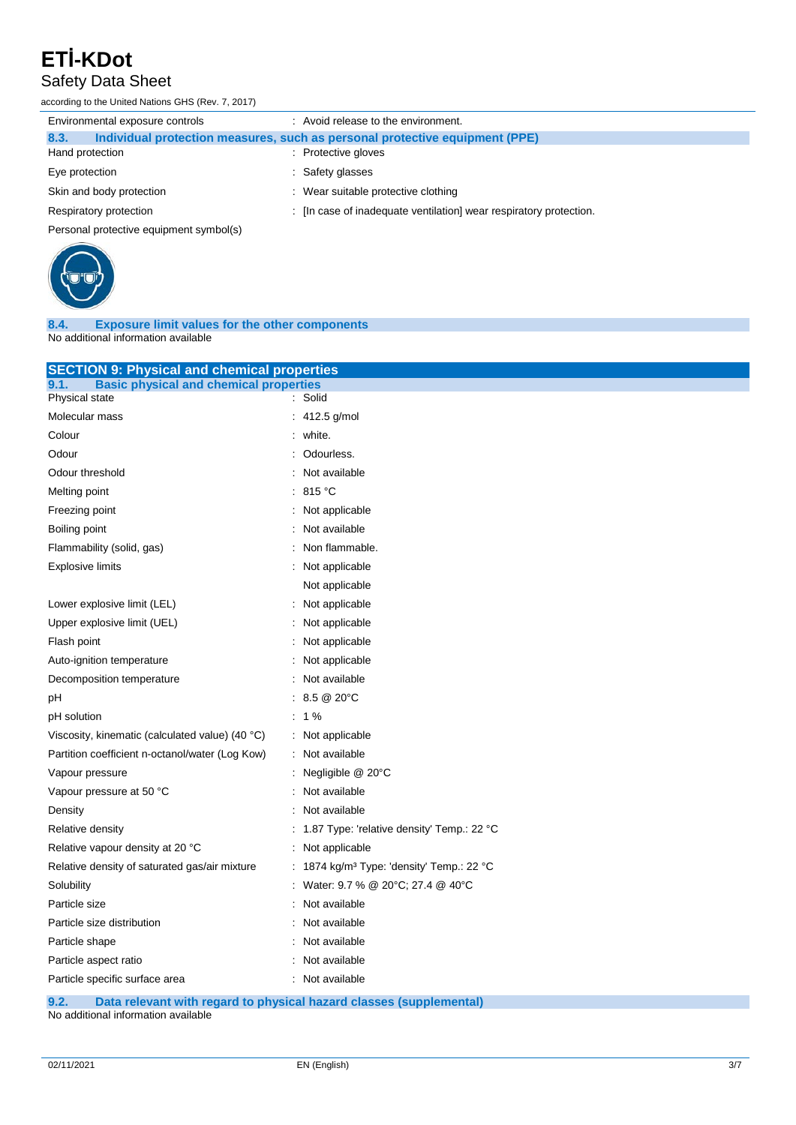#### Safety Data Sheet

according to the United Nations GHS (Rev. 7, 2017)

| Environmental exposure controls         | : Avoid release to the environment.                                         |
|-----------------------------------------|-----------------------------------------------------------------------------|
| 8.3.                                    | Individual protection measures, such as personal protective equipment (PPE) |
| Hand protection                         | : Protective gloves                                                         |
| Eye protection                          | : Safety glasses                                                            |
| Skin and body protection                | : Wear suitable protective clothing                                         |
| Respiratory protection                  | : [In case of inadequate ventilation] wear respiratory protection.          |
| Personal protective equipment symbol(s) |                                                                             |



**8.4. Exposure limit values for the other components** No additional information available

| <b>SECTION 9: Physical and chemical properties</b>    |                                                     |
|-------------------------------------------------------|-----------------------------------------------------|
| <b>Basic physical and chemical properties</b><br>9.1. |                                                     |
| Physical state                                        | : Solid                                             |
| Molecular mass                                        | 412.5 g/mol                                         |
| Colour                                                | white.                                              |
| Odour                                                 | Odourless.                                          |
| Odour threshold                                       | Not available                                       |
| Melting point                                         | 815 °C                                              |
| Freezing point                                        | Not applicable                                      |
| Boiling point                                         | Not available                                       |
| Flammability (solid, gas)                             | Non flammable.                                      |
| <b>Explosive limits</b>                               | Not applicable                                      |
|                                                       | Not applicable                                      |
| Lower explosive limit (LEL)                           | Not applicable                                      |
| Upper explosive limit (UEL)                           | Not applicable                                      |
| Flash point                                           | Not applicable                                      |
| Auto-ignition temperature                             | Not applicable                                      |
| Decomposition temperature                             | Not available                                       |
| рH                                                    | 8.5 @ 20°C                                          |
| pH solution                                           | : $1\%$                                             |
| Viscosity, kinematic (calculated value) (40 °C)       | : Not applicable                                    |
| Partition coefficient n-octanol/water (Log Kow)       | : Not available                                     |
| Vapour pressure                                       | Negligible @ 20°C                                   |
| Vapour pressure at 50 °C                              | Not available                                       |
| Density                                               | Not available                                       |
| Relative density                                      | 1.87 Type: 'relative density' Temp.: 22 °C          |
| Relative vapour density at 20 °C                      | Not applicable<br>$\ddot{\cdot}$                    |
| Relative density of saturated gas/air mixture         | 1874 kg/m <sup>3</sup> Type: 'density' Temp.: 22 °C |
| Solubility                                            | Water: 9.7 % @ 20°C; 27.4 @ 40°C                    |
| Particle size                                         | Not available                                       |
| Particle size distribution                            | Not available                                       |
| Particle shape                                        | Not available                                       |
| Particle aspect ratio                                 | Not available                                       |
| Particle specific surface area                        | Not available                                       |
|                                                       |                                                     |

**9.2. Data relevant with regard to physical hazard classes (supplemental)**

No additional information available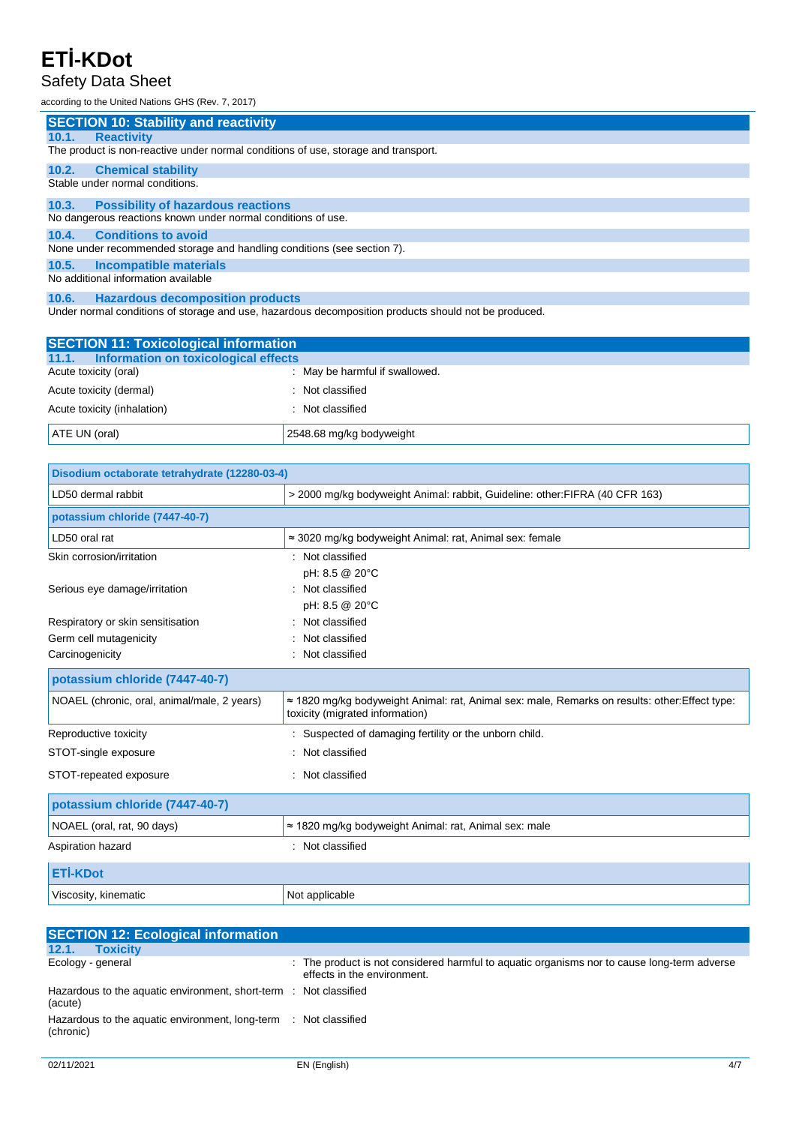### Safety Data Sheet

according to the United Nations GHS (Rev. 7, 2017)

|       | <b>SECTION 10: Stability and reactivity</b>                                        |
|-------|------------------------------------------------------------------------------------|
| 10.1. | <b>Reactivity</b>                                                                  |
|       | The product is non-reactive under normal conditions of use, storage and transport. |
| 10.2. | <b>Chemical stability</b>                                                          |
|       | Stable under normal conditions.                                                    |
| 10.3. | <b>Possibility of hazardous reactions</b>                                          |
|       | No dangerous reactions known under normal conditions of use.                       |
| 10.4. | <b>Conditions to avoid</b>                                                         |
|       | None under recommended storage and handling conditions (see section 7).            |
| 10.5. | <b>Incompatible materials</b>                                                      |
|       | No additional information available                                                |
| 10.6. | <b>Hazardous decomposition products</b>                                            |

Under normal conditions of storage and use, hazardous decomposition products should not be produced.

| <b>SECTION 11: Toxicological information</b>  |                                |
|-----------------------------------------------|--------------------------------|
| Information on toxicological effects<br>11.1. |                                |
| Acute toxicity (oral)                         | : May be harmful if swallowed. |
| Acute toxicity (dermal)                       | : Not classified               |
| Acute toxicity (inhalation)                   | : Not classified               |
| ATE UN (oral)                                 | 2548.68 mg/kg bodyweight       |

| Disodium octaborate tetrahydrate (12280-03-4) |                                                                                                                                           |  |  |
|-----------------------------------------------|-------------------------------------------------------------------------------------------------------------------------------------------|--|--|
| LD50 dermal rabbit                            | > 2000 mg/kg bodyweight Animal: rabbit, Guideline: other: FIFRA (40 CFR 163)                                                              |  |  |
| potassium chloride (7447-40-7)                |                                                                                                                                           |  |  |
| LD50 oral rat                                 | $\approx$ 3020 mg/kg bodyweight Animal: rat, Animal sex: female                                                                           |  |  |
| Skin corrosion/irritation                     | : Not classified                                                                                                                          |  |  |
|                                               | pH: 8.5 @ 20°C                                                                                                                            |  |  |
| Serious eye damage/irritation                 | : Not classified                                                                                                                          |  |  |
|                                               | pH: 8.5 @ 20°C                                                                                                                            |  |  |
| Respiratory or skin sensitisation             | : Not classified                                                                                                                          |  |  |
| Germ cell mutagenicity                        | Not classified                                                                                                                            |  |  |
| Carcinogenicity                               | : Not classified                                                                                                                          |  |  |
| potassium chloride (7447-40-7)                |                                                                                                                                           |  |  |
| NOAEL (chronic, oral, animal/male, 2 years)   | $\approx$ 1820 mg/kg bodyweight Animal: rat, Animal sex: male, Remarks on results: other: Effect type:<br>toxicity (migrated information) |  |  |
| Reproductive toxicity                         | : Suspected of damaging fertility or the unborn child.                                                                                    |  |  |
| STOT-single exposure                          | Not classified                                                                                                                            |  |  |
| STOT-repeated exposure                        | : Not classified                                                                                                                          |  |  |
| potassium chloride (7447-40-7)                |                                                                                                                                           |  |  |
| NOAEL (oral, rat, 90 days)                    | ≈ 1820 mg/kg bodyweight Animal: rat, Animal sex: male                                                                                     |  |  |
| Aspiration hazard                             | : Not classified                                                                                                                          |  |  |
| <b>ETİ-KDot</b>                               |                                                                                                                                           |  |  |
| Viscosity, kinematic                          | Not applicable                                                                                                                            |  |  |

| <b>SECTION 12: Ecological information</b>                                    |                                                                                                                            |
|------------------------------------------------------------------------------|----------------------------------------------------------------------------------------------------------------------------|
| 12.1.<br><b>Toxicity</b>                                                     |                                                                                                                            |
| Ecology - general                                                            | : The product is not considered harmful to aquatic organisms nor to cause long-term adverse<br>effects in the environment. |
| Hazardous to the aquatic environment, short-term : Not classified<br>(acute) |                                                                                                                            |
| Hazardous to the aquatic environment, long-term<br>(chronic)                 | : Not classified                                                                                                           |
|                                                                              |                                                                                                                            |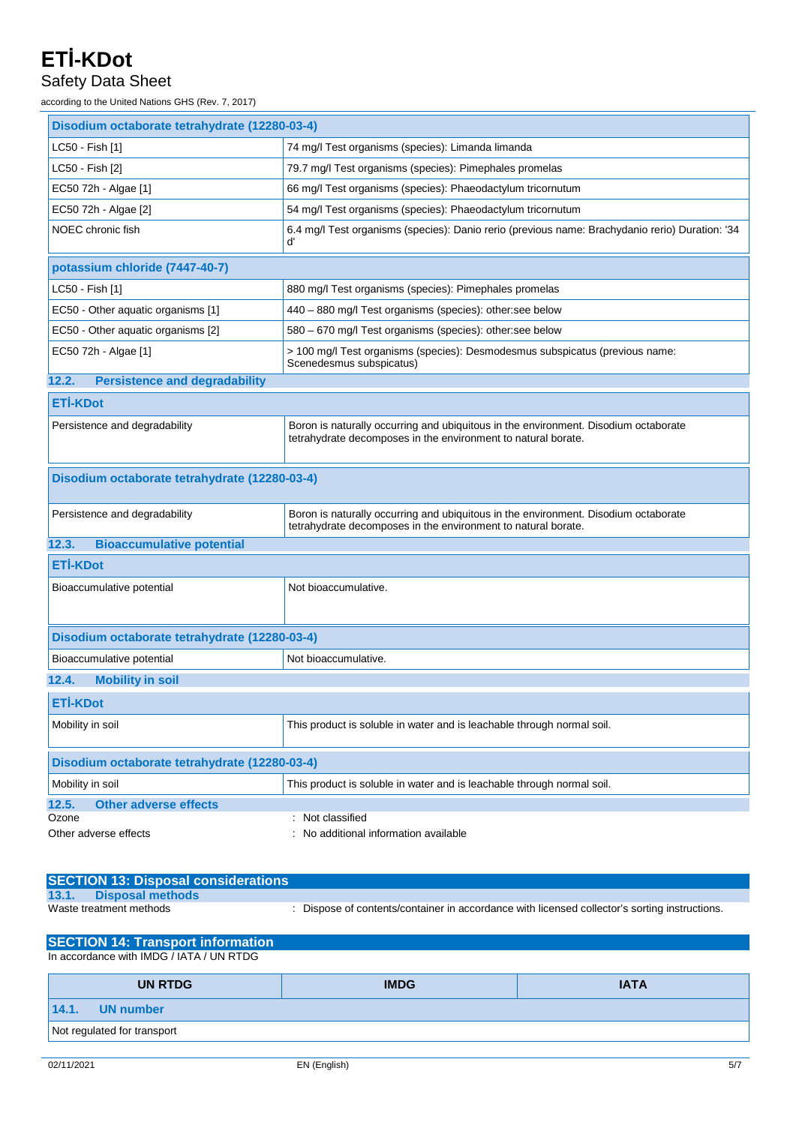#### Safety Data Sheet

according to the United Nations GHS (Rev. 7, 2017)

| Disodium octaborate tetrahydrate (12280-03-4) |                                                                                                                                                      |  |  |
|-----------------------------------------------|------------------------------------------------------------------------------------------------------------------------------------------------------|--|--|
| LC50 - Fish [1]                               | 74 mg/l Test organisms (species): Limanda limanda                                                                                                    |  |  |
| LC50 - Fish [2]                               | 79.7 mg/l Test organisms (species): Pimephales promelas                                                                                              |  |  |
| EC50 72h - Algae [1]                          | 66 mg/l Test organisms (species): Phaeodactylum tricornutum                                                                                          |  |  |
| EC50 72h - Algae [2]                          | 54 mg/l Test organisms (species): Phaeodactylum tricornutum                                                                                          |  |  |
| NOEC chronic fish                             | 6.4 mg/l Test organisms (species): Danio rerio (previous name: Brachydanio rerio) Duration: '34<br>ď                                                 |  |  |
| potassium chloride (7447-40-7)                |                                                                                                                                                      |  |  |
| LC50 - Fish [1]                               | 880 mg/l Test organisms (species): Pimephales promelas                                                                                               |  |  |
| EC50 - Other aquatic organisms [1]            | 440 - 880 mg/l Test organisms (species): other:see below                                                                                             |  |  |
| EC50 - Other aquatic organisms [2]            | 580 - 670 mg/l Test organisms (species): other:see below                                                                                             |  |  |
| EC50 72h - Algae [1]                          | > 100 mg/l Test organisms (species): Desmodesmus subspicatus (previous name:<br>Scenedesmus subspicatus)                                             |  |  |
| 12.2.<br><b>Persistence and degradability</b> |                                                                                                                                                      |  |  |
| <b>ETİ-KDot</b>                               |                                                                                                                                                      |  |  |
| Persistence and degradability                 | Boron is naturally occurring and ubiquitous in the environment. Disodium octaborate<br>tetrahydrate decomposes in the environment to natural borate. |  |  |
| Disodium octaborate tetrahydrate (12280-03-4) |                                                                                                                                                      |  |  |
| Persistence and degradability                 | Boron is naturally occurring and ubiquitous in the environment. Disodium octaborate<br>tetrahydrate decomposes in the environment to natural borate. |  |  |
| 12.3.<br><b>Bioaccumulative potential</b>     |                                                                                                                                                      |  |  |
| <b>ETİ-KDot</b>                               |                                                                                                                                                      |  |  |
| Bioaccumulative potential                     | Not bioaccumulative.                                                                                                                                 |  |  |
| Disodium octaborate tetrahydrate (12280-03-4) |                                                                                                                                                      |  |  |
| Bioaccumulative potential                     | Not bioaccumulative.                                                                                                                                 |  |  |
| 12.4.<br><b>Mobility in soil</b>              |                                                                                                                                                      |  |  |
| <b>ETİ-KDot</b>                               |                                                                                                                                                      |  |  |
| Mobility in soil                              | This product is soluble in water and is leachable through normal soil.                                                                               |  |  |
| Disodium octaborate tetrahydrate (12280-03-4) |                                                                                                                                                      |  |  |
| Mobility in soil                              | This product is soluble in water and is leachable through normal soil.                                                                               |  |  |
| 12.5.<br><b>Other adverse effects</b>         |                                                                                                                                                      |  |  |
| Ozone<br>Other adverse effects                | : Not classified<br>No additional information available                                                                                              |  |  |
|                                               |                                                                                                                                                      |  |  |

| <b>SECTION 13: Disposal considerations</b> |                                                                                             |
|--------------------------------------------|---------------------------------------------------------------------------------------------|
| 13.1.<br>Disposal methods                  |                                                                                             |
| Waste treatment methods                    | Dispose of contents/container in accordance with licensed collector's sorting instructions. |

| <b>SECTION 14: Transport information</b> |             |             |  |
|------------------------------------------|-------------|-------------|--|
| In accordance with IMDG / IATA / UN RTDG |             |             |  |
| <b>UN RTDG</b>                           | <b>IMDG</b> | <b>IATA</b> |  |
| <b>UN</b> number<br>14.1.                |             |             |  |
| Not regulated for transport              |             |             |  |
|                                          |             |             |  |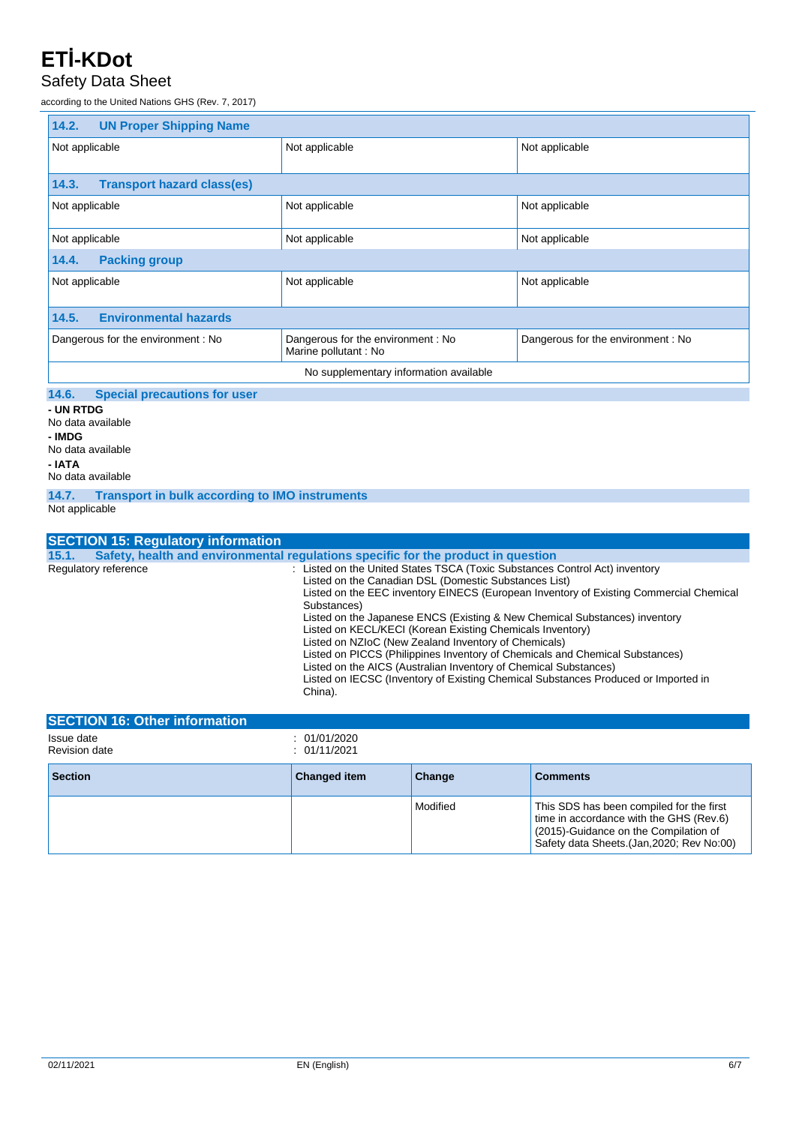#### Safety Data Sheet

according to the United Nations GHS (Rev. 7, 2017)

| 14.2.<br><b>UN Proper Shipping Name</b>            |                                                           |                                   |  |  |
|----------------------------------------------------|-----------------------------------------------------------|-----------------------------------|--|--|
| Not applicable                                     | Not applicable                                            | Not applicable                    |  |  |
|                                                    |                                                           |                                   |  |  |
| <b>Transport hazard class(es)</b><br>14.3.         |                                                           |                                   |  |  |
| Not applicable                                     | Not applicable                                            | Not applicable                    |  |  |
| Not applicable<br>Not applicable<br>Not applicable |                                                           |                                   |  |  |
| <b>Packing group</b><br>14.4.                      |                                                           |                                   |  |  |
| Not applicable                                     | Not applicable                                            | Not applicable                    |  |  |
|                                                    |                                                           |                                   |  |  |
| <b>Environmental hazards</b><br>14.5.              |                                                           |                                   |  |  |
| Dangerous for the environment: No                  | Dangerous for the environment: No<br>Marine pollutant: No | Dangerous for the environment: No |  |  |
| No supplementary information available             |                                                           |                                   |  |  |
|                                                    |                                                           |                                   |  |  |

#### **14.6. Special precautions for user**

**- UN RTDG** No data available **- IMDG** No data available **- IATA** No data available

**14.7. Transport in bulk according to IMO instruments**

Not applicable

| <b>SECTION 15: Regulatory information</b>                                                                                                                                                                                                                                                                                                                                                                                                                                                                                                                                                                                                                                                                                     |  |
|-------------------------------------------------------------------------------------------------------------------------------------------------------------------------------------------------------------------------------------------------------------------------------------------------------------------------------------------------------------------------------------------------------------------------------------------------------------------------------------------------------------------------------------------------------------------------------------------------------------------------------------------------------------------------------------------------------------------------------|--|
| Safety, health and environmental requiations specific for the product in question<br>15.1.                                                                                                                                                                                                                                                                                                                                                                                                                                                                                                                                                                                                                                    |  |
| : Listed on the United States TSCA (Toxic Substances Control Act) inventory<br>Regulatory reference<br>Listed on the Canadian DSL (Domestic Substances List)<br>Listed on the EEC inventory EINECS (European Inventory of Existing Commercial Chemical<br>Substances)<br>Listed on the Japanese ENCS (Existing & New Chemical Substances) inventory<br>Listed on KECL/KECI (Korean Existing Chemicals Inventory)<br>Listed on NZIoC (New Zealand Inventory of Chemicals)<br>Listed on PICCS (Philippines Inventory of Chemicals and Chemical Substances)<br>Listed on the AICS (Australian Inventory of Chemical Substances)<br>Listed on IECSC (Inventory of Existing Chemical Substances Produced or Imported in<br>China). |  |

| <b>ISECTION 16: Other information</b> |                              |          |                                                                                                                                                                            |
|---------------------------------------|------------------------------|----------|----------------------------------------------------------------------------------------------------------------------------------------------------------------------------|
| Issue date<br><b>Revision date</b>    | : 01/01/2020<br>: 01/11/2021 |          |                                                                                                                                                                            |
| <b>Section</b>                        | <b>Changed item</b>          | Change   | <b>Comments</b>                                                                                                                                                            |
|                                       |                              | Modified | This SDS has been compiled for the first<br>time in accordance with the GHS (Rev.6)<br>(2015)-Guidance on the Compilation of<br>Safety data Sheets. (Jan, 2020; Rev No:00) |